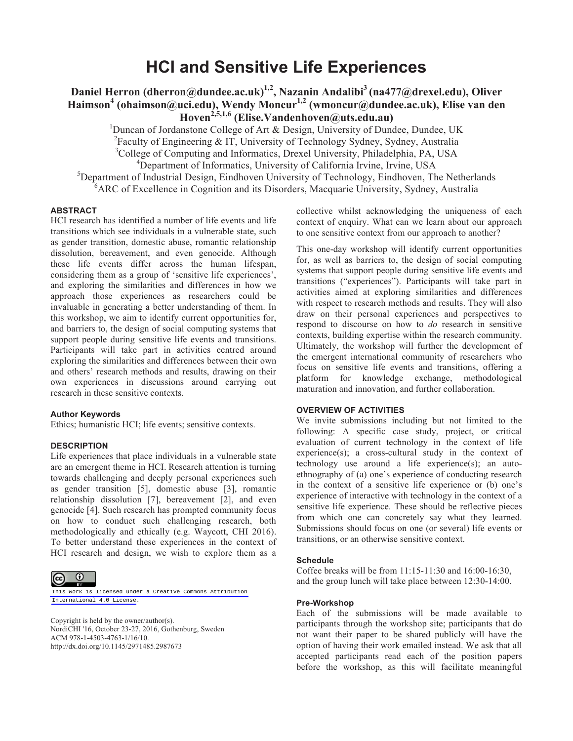# **HCI and Sensitive Life Experiences**

# **Daniel Herron (dherron@dundee.ac.uk)1,2, Nazanin Andalibi3 (na477@drexel.edu), Oliver Haimson<sup>4</sup> (ohaimson@uci.edu), Wendy Moncur1,2 (wmoncur@dundee.ac.uk), Elise van den Hoven2,5,1,6 (Elise.Vandenhoven@uts.edu.au)**

<sup>1</sup>Duncan of Jordanstone College of Art & Design, University of Dundee, Dundee, UK

<sup>2</sup> Faculty of Engineering & IT, University of Technology Sydney, Sydney, Australia

<sup>3</sup>College of Computing and Informatics, Drexel University, Philadelphia, PA, USA

4 Department of Informatics, University of California Irvine, Irvine, USA

<sup>5</sup>Department of Industrial Design, Eindhoven University of Technology, Eindhoven, The Netherlands <sup>6</sup> ARC of Excellence in Cognition and its Disorders, Macquarie University, Sydney, Australia

# **ABSTRACT**

HCI research has identified a number of life events and life transitions which see individuals in a vulnerable state, such as gender transition, domestic abuse, romantic relationship dissolution, bereavement, and even genocide. Although these life events differ across the human lifespan, considering them as a group of 'sensitive life experiences', and exploring the similarities and differences in how we approach those experiences as researchers could be invaluable in generating a better understanding of them. In this workshop, we aim to identify current opportunities for, and barriers to, the design of social computing systems that support people during sensitive life events and transitions. Participants will take part in activities centred around exploring the similarities and differences between their own and others' research methods and results, drawing on their own experiences in discussions around carrying out research in these sensitive contexts.

#### **Author Keywords**

Ethics; humanistic HCI; life events; sensitive contexts.

#### **DESCRIPTION**

Life experiences that place individuals in a vulnerable state are an emergent theme in HCI. Research attention is turning towards challenging and deeply personal experiences such as gender transition [5], domestic abuse [3], romantic relationship dissolution [7], bereavement [2], and even genocide [4]. Such research has prompted community focus on how to conduct such challenging research, both methodologically and ethically (e.g. Waycott, CHI 2016). To better understand these experiences in the context of HCI research and design, we wish to explore them as a



[This work is licensed under a Creative Commons Attribution](https://creativecommons.org/licenses/by/4.0/)  [International 4.0 License.](https://creativecommons.org/licenses/by/4.0/)

Copyright is held by the owner/author(s). NordiCHI '16, October 23-27, 2016, Gothenburg, Sweden ACM 978-1-4503-4763-1/16/10. http://dx.doi.org/10.1145/2971485.2987673

collective whilst acknowledging the uniqueness of each context of enquiry. What can we learn about our approach to one sensitive context from our approach to another?

This one-day workshop will identify current opportunities for, as well as barriers to, the design of social computing systems that support people during sensitive life events and transitions ("experiences"). Participants will take part in activities aimed at exploring similarities and differences with respect to research methods and results. They will also draw on their personal experiences and perspectives to respond to discourse on how to *do* research in sensitive contexts, building expertise within the research community. Ultimately, the workshop will further the development of the emergent international community of researchers who focus on sensitive life events and transitions, offering a platform for knowledge exchange, methodological maturation and innovation, and further collaboration.

#### **OVERVIEW OF ACTIVITIES**

We invite submissions including but not limited to the following: A specific case study, project, or critical evaluation of current technology in the context of life experience(s); a cross-cultural study in the context of technology use around a life experience(s); an autoethnography of (a) one's experience of conducting research in the context of a sensitive life experience or (b) one's experience of interactive with technology in the context of a sensitive life experience. These should be reflective pieces from which one can concretely say what they learned. Submissions should focus on one (or several) life events or transitions, or an otherwise sensitive context.

#### **Schedule**

Coffee breaks will be from 11:15-11:30 and 16:00-16:30, and the group lunch will take place between 12:30-14:00.

#### **Pre-Workshop**

Each of the submissions will be made available to participants through the workshop site; participants that do not want their paper to be shared publicly will have the option of having their work emailed instead. We ask that all accepted participants read each of the position papers before the workshop, as this will facilitate meaningful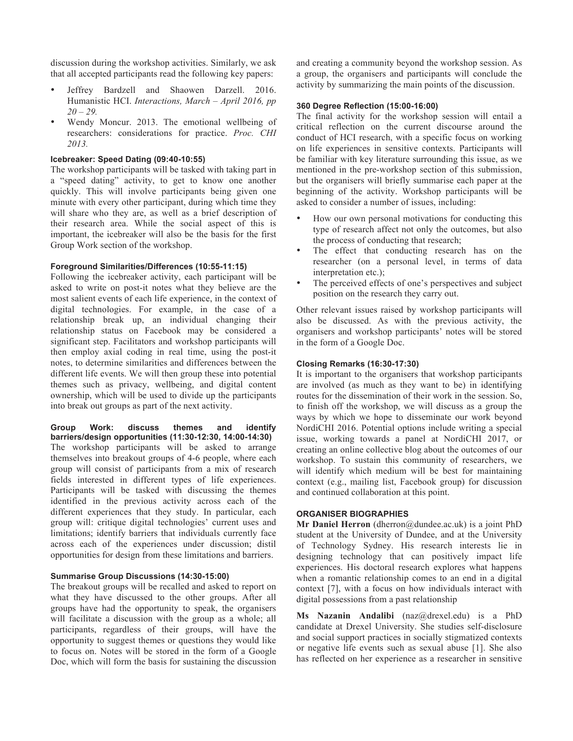discussion during the workshop activities. Similarly, we ask that all accepted participants read the following key papers:

- Jeffrey Bardzell and Shaowen Darzell. 2016. Humanistic HCI. *Interactions, March – April 2016, pp 20 – 29.*
- Wendy Moncur. 2013. The emotional wellbeing of researchers: considerations for practice. *Proc. CHI 2013.*

# **Icebreaker: Speed Dating (09:40-10:55)**

The workshop participants will be tasked with taking part in a "speed dating" activity, to get to know one another quickly. This will involve participants being given one minute with every other participant, during which time they will share who they are, as well as a brief description of their research area. While the social aspect of this is important, the icebreaker will also be the basis for the first Group Work section of the workshop.

#### **Foreground Similarities/Differences (10:55-11:15)**

Following the icebreaker activity, each participant will be asked to write on post-it notes what they believe are the most salient events of each life experience, in the context of digital technologies. For example, in the case of a relationship break up, an individual changing their relationship status on Facebook may be considered a significant step. Facilitators and workshop participants will then employ axial coding in real time, using the post-it notes, to determine similarities and differences between the different life events. We will then group these into potential themes such as privacy, wellbeing, and digital content ownership, which will be used to divide up the participants into break out groups as part of the next activity.

**Group Work: discuss themes and identify barriers/design opportunities (11:30-12:30, 14:00-14:30)**  The workshop participants will be asked to arrange themselves into breakout groups of 4-6 people, where each group will consist of participants from a mix of research fields interested in different types of life experiences. Participants will be tasked with discussing the themes identified in the previous activity across each of the different experiences that they study. In particular, each group will: critique digital technologies' current uses and limitations; identify barriers that individuals currently face across each of the experiences under discussion; distil opportunities for design from these limitations and barriers.

# **Summarise Group Discussions (14:30-15:00)**

The breakout groups will be recalled and asked to report on what they have discussed to the other groups. After all groups have had the opportunity to speak, the organisers will facilitate a discussion with the group as a whole; all participants, regardless of their groups, will have the opportunity to suggest themes or questions they would like to focus on. Notes will be stored in the form of a Google Doc, which will form the basis for sustaining the discussion and creating a community beyond the workshop session. As a group, the organisers and participants will conclude the activity by summarizing the main points of the discussion.

## **360 Degree Reflection (15:00-16:00)**

The final activity for the workshop session will entail a critical reflection on the current discourse around the conduct of HCI research, with a specific focus on working on life experiences in sensitive contexts. Participants will be familiar with key literature surrounding this issue, as we mentioned in the pre-workshop section of this submission, but the organisers will briefly summarise each paper at the beginning of the activity. Workshop participants will be asked to consider a number of issues, including:

- How our own personal motivations for conducting this type of research affect not only the outcomes, but also the process of conducting that research;
- The effect that conducting research has on the researcher (on a personal level, in terms of data interpretation etc.);
- The perceived effects of one's perspectives and subject position on the research they carry out.

Other relevant issues raised by workshop participants will also be discussed. As with the previous activity, the organisers and workshop participants' notes will be stored in the form of a Google Doc.

#### **Closing Remarks (16:30-17:30)**

It is important to the organisers that workshop participants are involved (as much as they want to be) in identifying routes for the dissemination of their work in the session. So, to finish off the workshop, we will discuss as a group the ways by which we hope to disseminate our work beyond NordiCHI 2016. Potential options include writing a special issue, working towards a panel at NordiCHI 2017, or creating an online collective blog about the outcomes of our workshop. To sustain this community of researchers, we will identify which medium will be best for maintaining context (e.g., mailing list, Facebook group) for discussion and continued collaboration at this point.

# **ORGANISER BIOGRAPHIES**

**Mr Daniel Herron** (dherron@dundee.ac.uk) is a joint PhD student at the University of Dundee, and at the University of Technology Sydney. His research interests lie in designing technology that can positively impact life experiences. His doctoral research explores what happens when a romantic relationship comes to an end in a digital context [7], with a focus on how individuals interact with digital possessions from a past relationship

**Ms Nazanin Andalibi** (naz@drexel.edu) is a PhD candidate at Drexel University. She studies self-disclosure and social support practices in socially stigmatized contexts or negative life events such as sexual abuse [1]. She also has reflected on her experience as a researcher in sensitive